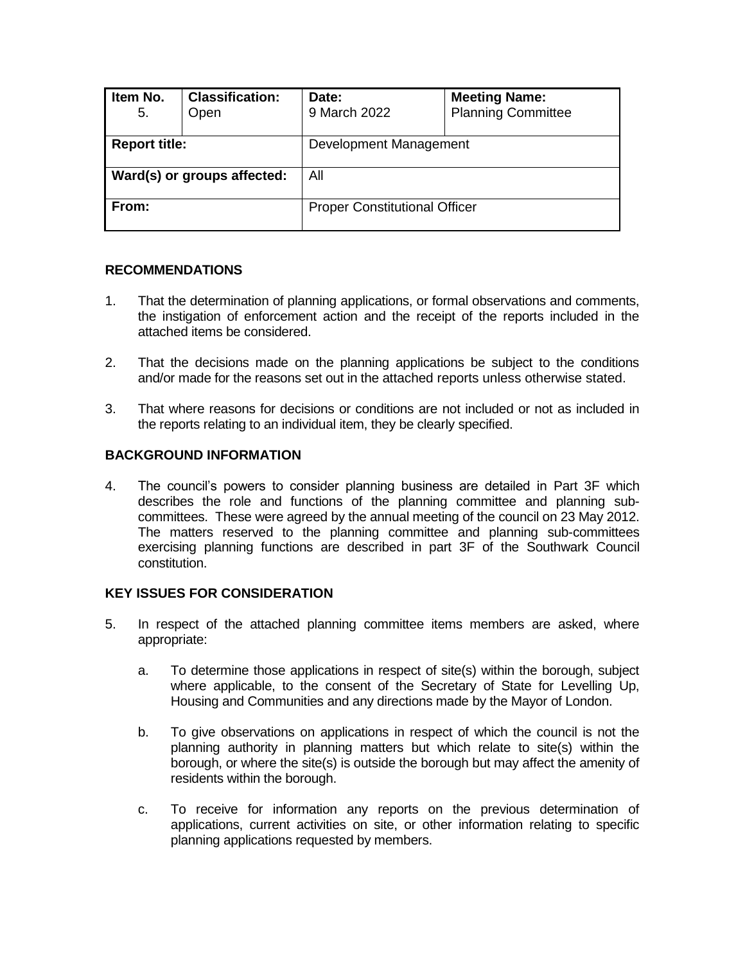| Item No.<br>5.              | <b>Classification:</b><br>Open | Date:<br>9 March 2022                | <b>Meeting Name:</b><br><b>Planning Committee</b> |  |
|-----------------------------|--------------------------------|--------------------------------------|---------------------------------------------------|--|
| <b>Report title:</b>        |                                | Development Management               |                                                   |  |
| Ward(s) or groups affected: |                                | All                                  |                                                   |  |
| From:                       |                                | <b>Proper Constitutional Officer</b> |                                                   |  |

### **RECOMMENDATIONS**

- 1. That the determination of planning applications, or formal observations and comments, the instigation of enforcement action and the receipt of the reports included in the attached items be considered.
- 2. That the decisions made on the planning applications be subject to the conditions and/or made for the reasons set out in the attached reports unless otherwise stated.
- 3. That where reasons for decisions or conditions are not included or not as included in the reports relating to an individual item, they be clearly specified.

### **BACKGROUND INFORMATION**

4. The council's powers to consider planning business are detailed in Part 3F which describes the role and functions of the planning committee and planning subcommittees. These were agreed by the annual meeting of the council on 23 May 2012. The matters reserved to the planning committee and planning sub-committees exercising planning functions are described in part 3F of the Southwark Council constitution.

### **KEY ISSUES FOR CONSIDERATION**

- 5. In respect of the attached planning committee items members are asked, where appropriate:
	- a. To determine those applications in respect of site(s) within the borough, subject where applicable, to the consent of the Secretary of State for Levelling Up, Housing and Communities and any directions made by the Mayor of London.
	- b. To give observations on applications in respect of which the council is not the planning authority in planning matters but which relate to site(s) within the borough, or where the site(s) is outside the borough but may affect the amenity of residents within the borough.
	- c. To receive for information any reports on the previous determination of applications, current activities on site, or other information relating to specific planning applications requested by members.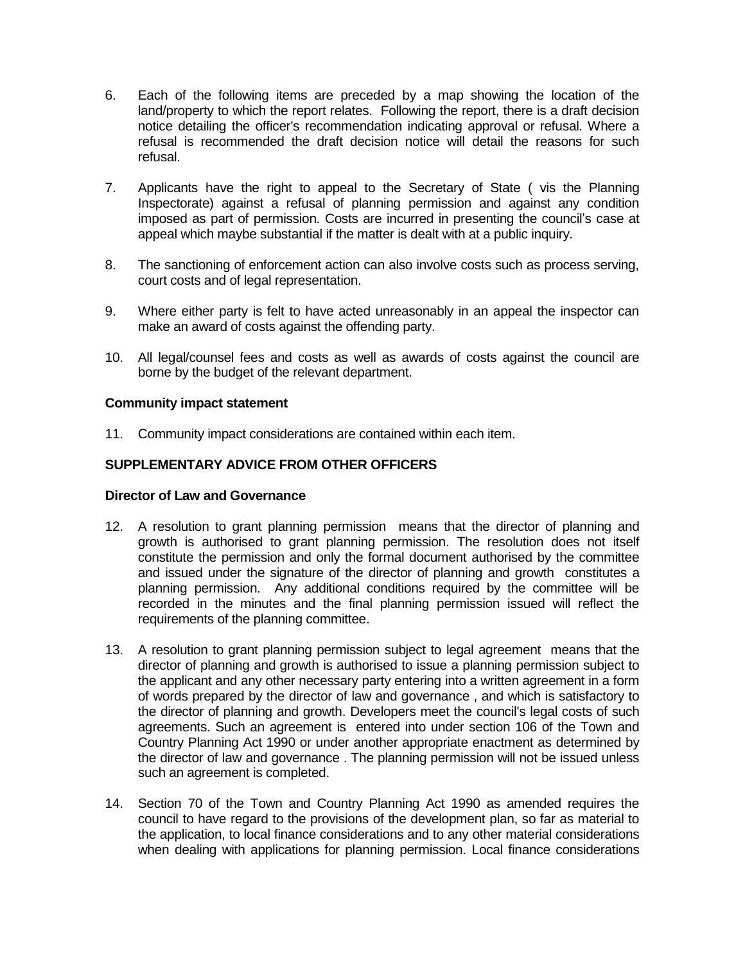- 6. Each of the following items are preceded by a map showing the location of the land/property to which the report relates. Following the report, there is a draft decision notice detailing the officer's recommendation indicating approval or refusal. Where a refusal is recommended the draft decision notice will detail the reasons for such refusal.
- 7. Applicants have the right to appeal to the Secretary of State ( vis the Planning Inspectorate) against a refusal of planning permission and against any condition imposed as part of permission. Costs are incurred in presenting the council's case at appeal which maybe substantial if the matter is dealt with at a public inquiry.
- 8. The sanctioning of enforcement action can also involve costs such as process serving, court costs and of legal representation.
- 9. Where either party is felt to have acted unreasonably in an appeal the inspector can make an award of costs against the offending party.
- 10. All legal/counsel fees and costs as well as awards of costs against the council are borne by the budget of the relevant department.

### **Community impact statement**

11. Community impact considerations are contained within each item.

### **SUPPLEMENTARY ADVICE FROM OTHER OFFICERS**

### **Director of Law and Governance**

- 12. A resolution to grant planning permission means that the director of planning and growth is authorised to grant planning permission. The resolution does not itself constitute the permission and only the formal document authorised by the committee and issued under the signature of the director of planning and growth constitutes a planning permission. Any additional conditions required by the committee will be recorded in the minutes and the final planning permission issued will reflect the requirements of the planning committee.
- 13. A resolution to grant planning permission subject to legal agreement means that the director of planning and growth is authorised to issue a planning permission subject to the applicant and any other necessary party entering into a written agreement in a form of words prepared by the director of law and governance , and which is satisfactory to the director of planning and growth. Developers meet the council's legal costs of such agreements. Such an agreement is entered into under section 106 of the Town and Country Planning Act 1990 or under another appropriate enactment as determined by the director of law and governance . The planning permission will not be issued unless such an agreement is completed.
- 14. Section 70 of the Town and Country Planning Act 1990 as amended requires the council to have regard to the provisions of the development plan, so far as material to the application, to local finance considerations and to any other material considerations when dealing with applications for planning permission. Local finance considerations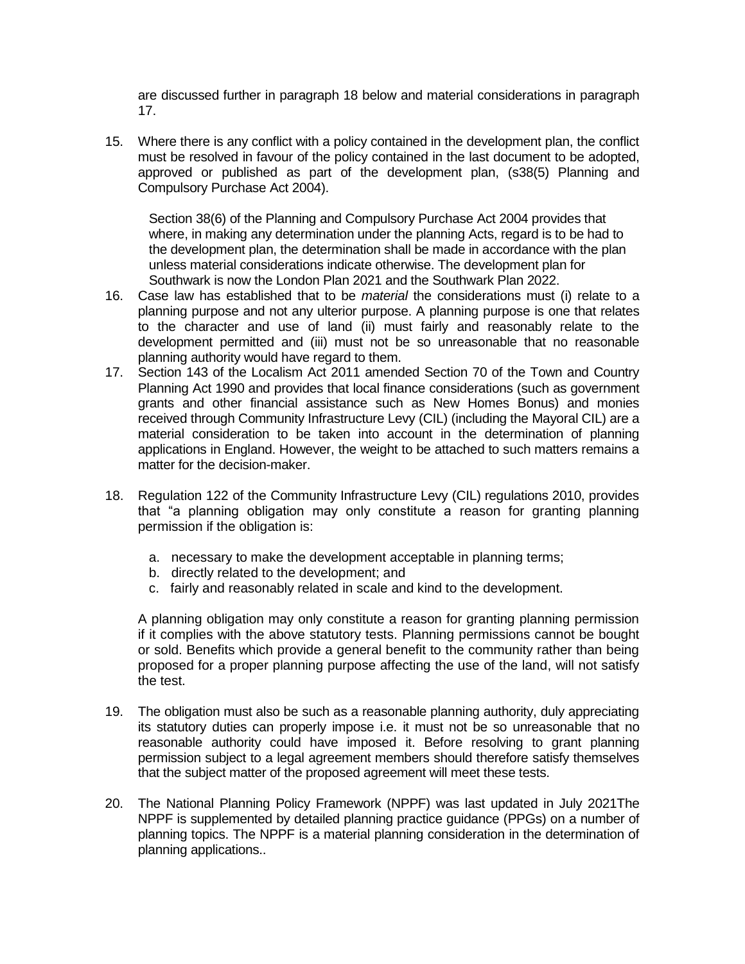are discussed further in paragraph 18 below and material considerations in paragraph 17.

15. Where there is any conflict with a policy contained in the development plan, the conflict must be resolved in favour of the policy contained in the last document to be adopted, approved or published as part of the development plan, (s38(5) Planning and Compulsory Purchase Act 2004).

Section 38(6) of the Planning and Compulsory Purchase Act 2004 provides that where, in making any determination under the planning Acts, regard is to be had to the development plan, the determination shall be made in accordance with the plan unless material considerations indicate otherwise. The development plan for Southwark is now the London Plan 2021 and the Southwark Plan 2022.

- 16. Case law has established that to be *material* the considerations must (i) relate to a planning purpose and not any ulterior purpose. A planning purpose is one that relates to the character and use of land (ii) must fairly and reasonably relate to the development permitted and (iii) must not be so unreasonable that no reasonable planning authority would have regard to them.
- 17. Section 143 of the Localism Act 2011 amended Section 70 of the Town and Country Planning Act 1990 and provides that local finance considerations (such as government grants and other financial assistance such as New Homes Bonus) and monies received through Community Infrastructure Levy (CIL) (including the Mayoral CIL) are a material consideration to be taken into account in the determination of planning applications in England. However, the weight to be attached to such matters remains a matter for the decision-maker.
- 18. Regulation 122 of the Community Infrastructure Levy (CIL) regulations 2010, provides that "a planning obligation may only constitute a reason for granting planning permission if the obligation is:
	- a. necessary to make the development acceptable in planning terms;
	- b. directly related to the development; and
	- c. fairly and reasonably related in scale and kind to the development.

A planning obligation may only constitute a reason for granting planning permission if it complies with the above statutory tests. Planning permissions cannot be bought or sold. Benefits which provide a general benefit to the community rather than being proposed for a proper planning purpose affecting the use of the land, will not satisfy the test.

- 19. The obligation must also be such as a reasonable planning authority, duly appreciating its statutory duties can properly impose i.e. it must not be so unreasonable that no reasonable authority could have imposed it. Before resolving to grant planning permission subject to a legal agreement members should therefore satisfy themselves that the subject matter of the proposed agreement will meet these tests.
- 20. The National Planning Policy Framework (NPPF) was last updated in July 2021The NPPF is supplemented by detailed planning practice guidance (PPGs) on a number of planning topics. The NPPF is a material planning consideration in the determination of planning applications..